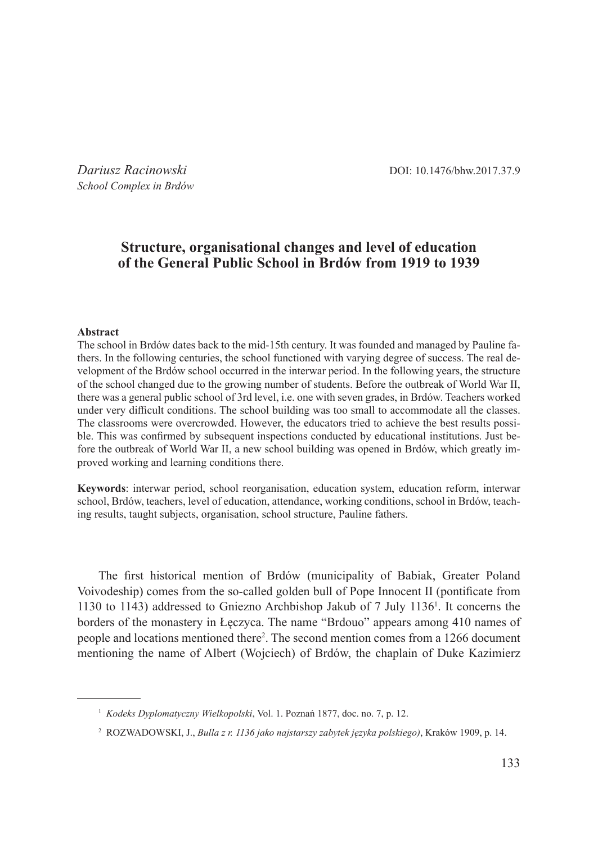*Dariusz Racinowski* DOI: 10.1476/bhw.2017.37.9

*School Complex in Brdów*

# **Structure, organisational changes and level of education of the General Public School in Brdów from 1919 to 1939**

### **Abstract**

The school in Brdów dates back to the mid-15th century. It was founded and managed by Pauline fathers. In the following centuries, the school functioned with varying degree of success. The real development of the Brdów school occurred in the interwar period. In the following years, the structure of the school changed due to the growing number of students. Before the outbreak of World War II, there was a general public school of 3rd level, i.e. one with seven grades, in Brdów. Teachers worked under very difficult conditions. The school building was too small to accommodate all the classes. The classrooms were overcrowded. However, the educators tried to achieve the best results possible. This was confirmed by subsequent inspections conducted by educational institutions. Just before the outbreak of World War II, a new school building was opened in Brdów, which greatly improved working and learning conditions there.

**Keywords**: interwar period, school reorganisation, education system, education reform, interwar school, Brdów, teachers, level of education, attendance, working conditions, school in Brdów, teaching results, taught subjects, organisation, school structure, Pauline fathers.

The first historical mention of Brdów (municipality of Babiak, Greater Poland Voivodeship) comes from the so-called golden bull of Pope Innocent II (pontificate from 1130 to 1143) addressed to Gniezno Archbishop Jakub of 7 July 1136<sup>1</sup> . It concerns the borders of the monastery in Łęczyca. The name "Brdouo" appears among 410 names of people and locations mentioned there<sup>2</sup>. The second mention comes from a 1266 document mentioning the name of Albert (Wojciech) of Brdów, the chaplain of Duke Kazimierz

<sup>1</sup> *Kodeks Dyplomatyczny Wielkopolski*, Vol. 1. Poznań 1877, doc. no. 7, p. 12.

<sup>2</sup> ROZWADOWSKI, J., *Bulla z r. 1136 jako najstarszy zabytek języka polskiego)*, Kraków 1909, p. 14.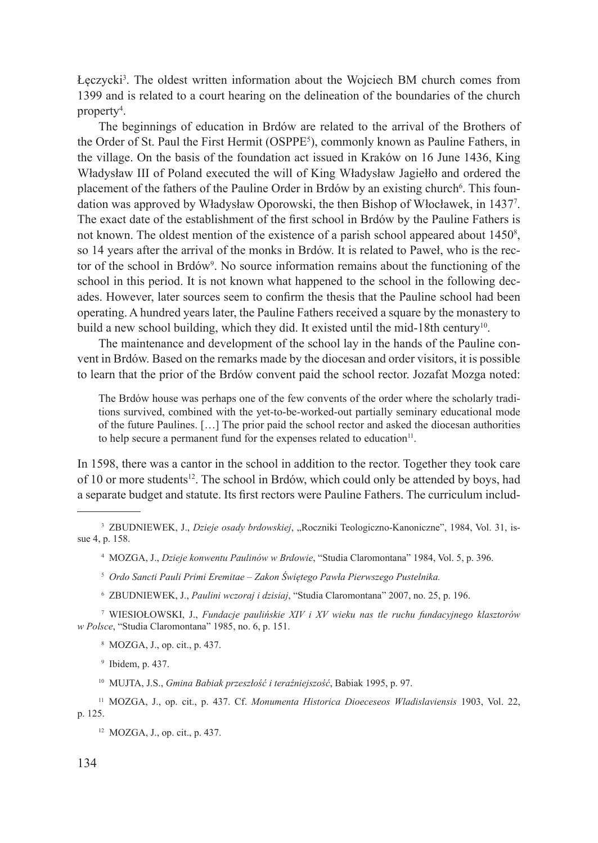Łęczycki<sup>3</sup> . The oldest written information about the Wojciech BM church comes from 1399 and is related to a court hearing on the delineation of the boundaries of the church property4 .

The beginnings of education in Brdów are related to the arrival of the Brothers of the Order of St. Paul the First Hermit (OSPPE5 ), commonly known as Pauline Fathers, in the village. On the basis of the foundation act issued in Kraków on 16 June 1436, King Władysław III of Poland executed the will of King Władysław Jagiełło and ordered the placement of the fathers of the Pauline Order in Brdów by an existing church<sup>6</sup>. This foundation was approved by Władysław Oporowski, the then Bishop of Włocławek, in 1437<sup>7</sup> . The exact date of the establishment of the first school in Brdów by the Pauline Fathers is not known. The oldest mention of the existence of a parish school appeared about 1450<sup>8</sup>, so 14 years after the arrival of the monks in Brdów. It is related to Paweł, who is the rector of the school in Brdów<sup>9</sup>. No source information remains about the functioning of the school in this period. It is not known what happened to the school in the following decades. However, later sources seem to confirm the thesis that the Pauline school had been operating. A hundred years later, the Pauline Fathers received a square by the monastery to build a new school building, which they did. It existed until the mid-18th century<sup>10</sup>.

The maintenance and development of the school lay in the hands of the Pauline convent in Brdów. Based on the remarks made by the diocesan and order visitors, it is possible to learn that the prior of the Brdów convent paid the school rector. Jozafat Mozga noted:

The Brdów house was perhaps one of the few convents of the order where the scholarly traditions survived, combined with the yet-to-be-worked-out partially seminary educational mode of the future Paulines. […] The prior paid the school rector and asked the diocesan authorities to help secure a permanent fund for the expenses related to education $11$ .

In 1598, there was a cantor in the school in addition to the rector. Together they took care of 10 or more students<sup>12</sup>. The school in Brdów, which could only be attended by boys, had a separate budget and statute. Its first rectors were Pauline Fathers. The curriculum includ-

<sup>6</sup> ZBUDNIEWEK, J., *Paulini wczoraj i dzisiaj*, "Studia Claromontana" 2007, no. 25, p. 196.

<sup>7</sup> WIESIOŁOWSKI, J., *Fundacje paulińskie XIV i XV wieku nas tle ruchu fundacyjnego klasztorów w Polsce*, "Studia Claromontana" 1985, no. 6, p. 151.

<sup>8</sup> MOZGA, J., op. cit., p. 437.

<sup>9</sup> Ibidem, p. 437.

<sup>10</sup> MUJTA, J.S., *Gmina Babiak przeszłość i teraźniejszość*, Babiak 1995, p. 97.

<sup>11</sup> MOZGA, J., op. cit., p. 437. Cf. *Monumenta Historica Dioeceseos Wladislaviensis* 1903, Vol. 22, p. 125.

<sup>12</sup> MOZGA, J., op. cit., p. 437.

<sup>&</sup>lt;sup>3</sup> ZBUDNIEWEK, J., *Dzieje osady brdowskiej*, "Roczniki Teologiczno-Kanoniczne", 1984, Vol. 31, issue 4, p. 158.

<sup>4</sup> MOZGA, J., *Dzieje konwentu Paulinów w Brdowie*, "Studia Claromontana" 1984, Vol. 5, p. 396.

<sup>5</sup> *Ordo Sancti Pauli Primi Eremitae – Zakon Świętego Pawła Pierwszego Pustelnika.*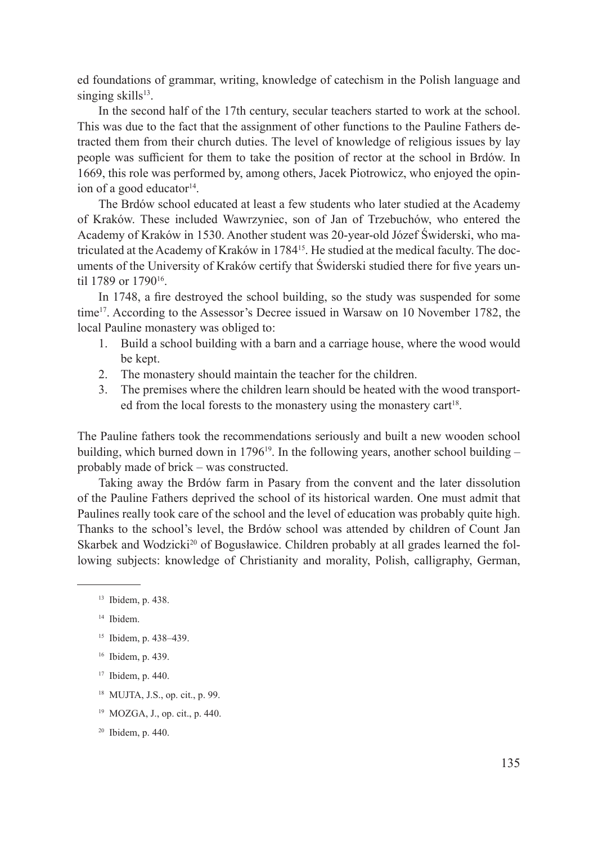ed foundations of grammar, writing, knowledge of catechism in the Polish language and singing skills<sup>13</sup>.

In the second half of the 17th century, secular teachers started to work at the school. This was due to the fact that the assignment of other functions to the Pauline Fathers detracted them from their church duties. The level of knowledge of religious issues by lay people was sufficient for them to take the position of rector at the school in Brdów. In 1669, this role was performed by, among others, Jacek Piotrowicz, who enjoyed the opinion of a good educator $14$ .

The Brdów school educated at least a few students who later studied at the Academy of Kraków. These included Wawrzyniec, son of Jan of Trzebuchów, who entered the Academy of Kraków in 1530. Another student was 20-year-old Józef Świderski, who matriculated at the Academy of Kraków in 1784<sup>15</sup>. He studied at the medical faculty. The documents of the University of Kraków certify that Świderski studied there for five years until 1789 or 179016.

In 1748, a fire destroyed the school building, so the study was suspended for some time<sup>17</sup>. According to the Assessor's Decree issued in Warsaw on 10 November 1782, the local Pauline monastery was obliged to:

- 1. Build a school building with a barn and a carriage house, where the wood would be kept.
- 2. The monastery should maintain the teacher for the children.
- 3. The premises where the children learn should be heated with the wood transported from the local forests to the monastery using the monastery cart<sup>18</sup>.

The Pauline fathers took the recommendations seriously and built a new wooden school building, which burned down in 1796<sup>19</sup>. In the following years, another school building  $$ probably made of brick – was constructed.

Taking away the Brdów farm in Pasary from the convent and the later dissolution of the Pauline Fathers deprived the school of its historical warden. One must admit that Paulines really took care of the school and the level of education was probably quite high. Thanks to the school's level, the Brdów school was attended by children of Count Jan Skarbek and Wodzicki<sup>20</sup> of Bogusławice. Children probably at all grades learned the following subjects: knowledge of Christianity and morality, Polish, calligraphy, German,

- <sup>15</sup> Ibidem, p. 438–439.
- <sup>16</sup> Ibidem, p. 439.
- <sup>17</sup> Ibidem, p. 440.
- <sup>18</sup> MUJTA, J.S., op. cit., p. 99.
- <sup>19</sup> MOZGA, J., op. cit., p. 440.

<sup>13</sup> Ibidem, p. 438.

<sup>14</sup> Ibidem.

<sup>20</sup> Ibidem, p. 440.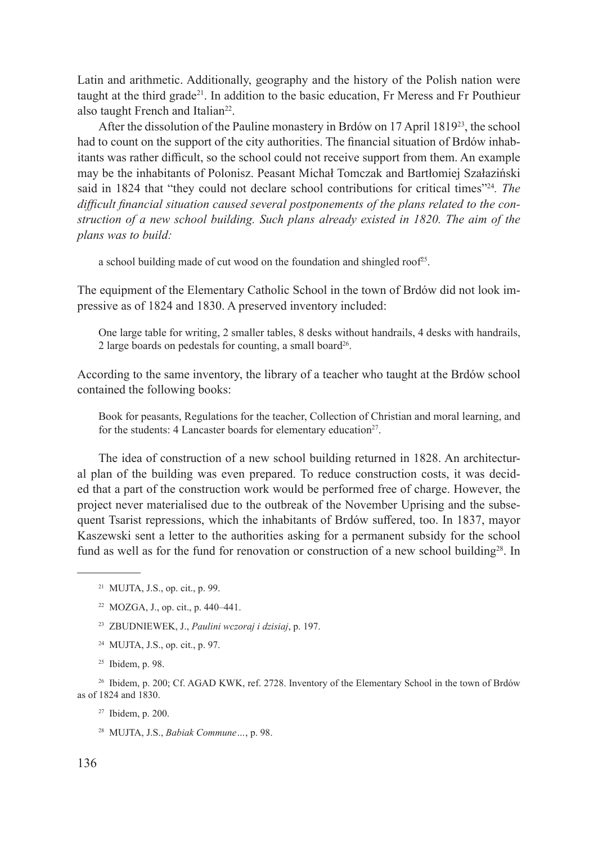Latin and arithmetic. Additionally, geography and the history of the Polish nation were taught at the third grade<sup>21</sup>. In addition to the basic education, Fr Meress and Fr Pouthieur also taught French and Italian<sup>22</sup>.

After the dissolution of the Pauline monastery in Brdów on 17 April 1819<sup>23</sup>, the school had to count on the support of the city authorities. The financial situation of Brdów inhabitants was rather difficult, so the school could not receive support from them. An example may be the inhabitants of Polonisz. Peasant Michał Tomczak and Bartłomiej Szałaziński said in 1824 that "they could not declare school contributions for critical times"24*. The difficult financial situation caused several postponements of the plans related to the construction of a new school building. Such plans already existed in 1820. The aim of the plans was to build:* 

a school building made of cut wood on the foundation and shingled roof<sup>25</sup>.

The equipment of the Elementary Catholic School in the town of Brdów did not look impressive as of 1824 and 1830. A preserved inventory included:

One large table for writing, 2 smaller tables, 8 desks without handrails, 4 desks with handrails, 2 large boards on pedestals for counting, a small board<sup>26</sup>.

According to the same inventory, the library of a teacher who taught at the Brdów school contained the following books:

Book for peasants, Regulations for the teacher, Collection of Christian and moral learning, and for the students: 4 Lancaster boards for elementary education<sup>27</sup>.

The idea of construction of a new school building returned in 1828. An architectural plan of the building was even prepared. To reduce construction costs, it was decided that a part of the construction work would be performed free of charge. However, the project never materialised due to the outbreak of the November Uprising and the subsequent Tsarist repressions, which the inhabitants of Brdów suffered, too. In 1837, mayor Kaszewski sent a letter to the authorities asking for a permanent subsidy for the school fund as well as for the fund for renovation or construction of a new school building<sup>28</sup>. In

<sup>23</sup> ZBUDNIEWEK, J., *Paulini wczoraj i dzisiaj*, p. 197.

<sup>24</sup> MUJTA, J.S., op. cit., p. 97.

<sup>26</sup> Ibidem, p. 200; Cf. AGAD KWK, ref. 2728. Inventory of the Elementary School in the town of Brdów as of 1824 and 1830.

<sup>27</sup> Ibidem, p. 200.

<sup>21</sup> MUJTA, J.S., op. cit., p. 99.

<sup>22</sup> MOZGA, J., op. cit., p. 440–441.

<sup>25</sup> Ibidem, p. 98.

<sup>28</sup> MUJTA, J.S., *Babiak Commune…*, p. 98.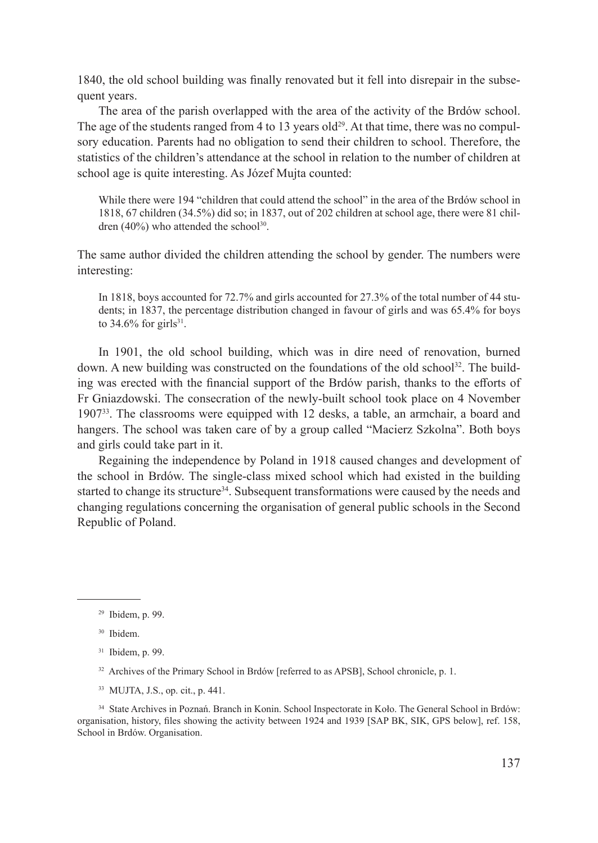1840, the old school building was finally renovated but it fell into disrepair in the subsequent years.

The area of the parish overlapped with the area of the activity of the Brdów school. The age of the students ranged from 4 to 13 years old<sup>29</sup>. At that time, there was no compulsory education. Parents had no obligation to send their children to school. Therefore, the statistics of the children's attendance at the school in relation to the number of children at school age is quite interesting. As Józef Mujta counted:

While there were 194 "children that could attend the school" in the area of the Brdów school in 1818, 67 children (34.5%) did so; in 1837, out of 202 children at school age, there were 81 children  $(40\%)$  who attended the school<sup>30</sup>.

The same author divided the children attending the school by gender. The numbers were interesting:

In 1818, boys accounted for 72.7% and girls accounted for 27.3% of the total number of 44 students; in 1837, the percentage distribution changed in favour of girls and was 65.4% for boys to  $34.6\%$  for girls<sup>31</sup>.

In 1901, the old school building, which was in dire need of renovation, burned down. A new building was constructed on the foundations of the old school<sup>32</sup>. The building was erected with the financial support of the Brdów parish, thanks to the efforts of Fr Gniazdowski. The consecration of the newly-built school took place on 4 November 1907<sup>33</sup>. The classrooms were equipped with 12 desks, a table, an armchair, a board and hangers. The school was taken care of by a group called "Macierz Szkolna". Both boys and girls could take part in it.

Regaining the independence by Poland in 1918 caused changes and development of the school in Brdów. The single-class mixed school which had existed in the building started to change its structure<sup>34</sup>. Subsequent transformations were caused by the needs and changing regulations concerning the organisation of general public schools in the Second Republic of Poland.

<sup>33</sup> MUJTA, J.S., op. cit., p. 441.

<sup>34</sup> State Archives in Poznań. Branch in Konin. School Inspectorate in Koło. The General School in Brdów: organisation, history, files showing the activity between 1924 and 1939 [SAP BK, SIK, GPS below], ref. 158, School in Brdów. Organisation.

<sup>29</sup> Ibidem, p. 99.

<sup>30</sup> Ibidem.

<sup>31</sup> Ibidem, p. 99.

<sup>&</sup>lt;sup>32</sup> Archives of the Primary School in Brdów [referred to as APSB], School chronicle, p. 1.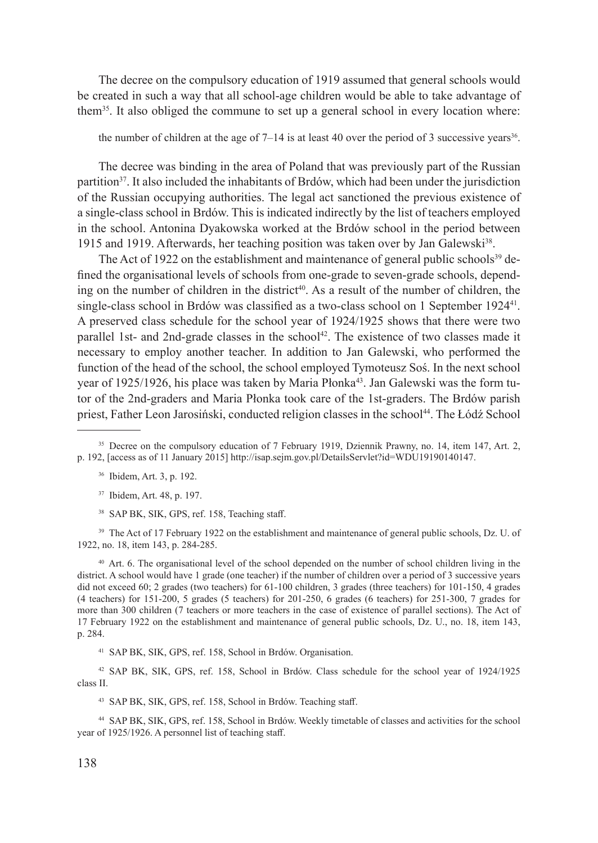The decree on the compulsory education of 1919 assumed that general schools would be created in such a way that all school-age children would be able to take advantage of them35. It also obliged the commune to set up a general school in every location where:

the number of children at the age of  $7-14$  is at least 40 over the period of 3 successive years<sup>36</sup>.

The decree was binding in the area of Poland that was previously part of the Russian partition<sup>37</sup>. It also included the inhabitants of Brdów, which had been under the jurisdiction of the Russian occupying authorities. The legal act sanctioned the previous existence of a single-class school in Brdów. This is indicated indirectly by the list of teachers employed in the school. Antonina Dyakowska worked at the Brdów school in the period between 1915 and 1919. Afterwards, her teaching position was taken over by Jan Galewski<sup>38</sup>.

The Act of 1922 on the establishment and maintenance of general public schools<sup>39</sup> defined the organisational levels of schools from one-grade to seven-grade schools, depending on the number of children in the district<sup>40</sup>. As a result of the number of children, the single-class school in Brdów was classified as a two-class school on 1 September 192441. A preserved class schedule for the school year of 1924/1925 shows that there were two parallel 1st- and 2nd-grade classes in the school<sup>42</sup>. The existence of two classes made it necessary to employ another teacher. In addition to Jan Galewski, who performed the function of the head of the school, the school employed Tymoteusz Soś. In the next school year of 1925/1926, his place was taken by Maria Płonka<sup>43</sup>. Jan Galewski was the form tutor of the 2nd-graders and Maria Płonka took care of the 1st-graders. The Brdów parish priest, Father Leon Jarosiński, conducted religion classes in the school<sup>44</sup>. The Łódź School

<sup>38</sup> SAP BK, SIK, GPS, ref. 158, Teaching staff.

<sup>39</sup> The Act of 17 February 1922 on the establishment and maintenance of general public schools, Dz. U. of 1922, no. 18, item 143, p. 284-285.

<sup>40</sup> Art. 6. The organisational level of the school depended on the number of school children living in the district. A school would have 1 grade (one teacher) if the number of children over a period of 3 successive years did not exceed 60; 2 grades (two teachers) for 61-100 children, 3 grades (three teachers) for 101-150, 4 grades (4 teachers) for 151-200, 5 grades (5 teachers) for 201-250, 6 grades (6 teachers) for 251-300, 7 grades for more than 300 children (7 teachers or more teachers in the case of existence of parallel sections). The Act of 17 February 1922 on the establishment and maintenance of general public schools, Dz. U., no. 18, item 143, p. 284.

<sup>41</sup> SAP BK, SIK, GPS, ref. 158, School in Brdów. Organisation.

<sup>42</sup> SAP BK, SIK, GPS, ref. 158, School in Brdów. Class schedule for the school year of 1924/1925 class II.

<sup>43</sup> SAP BK, SIK, GPS, ref. 158, School in Brdów. Teaching staff.

<sup>44</sup> SAP BK, SIK, GPS, ref. 158, School in Brdów. Weekly timetable of classes and activities for the school year of 1925/1926. A personnel list of teaching staff.

<sup>&</sup>lt;sup>35</sup> Decree on the compulsory education of 7 February 1919, Dziennik Prawny, no. 14, item 147, Art. 2, p. 192, [access as of 11 January 2015] http://isap.sejm.gov.pl/DetailsServlet?id=WDU19190140147.

<sup>36</sup> Ibidem, Art. 3, p. 192.

<sup>37</sup> Ibidem, Art. 48, p. 197.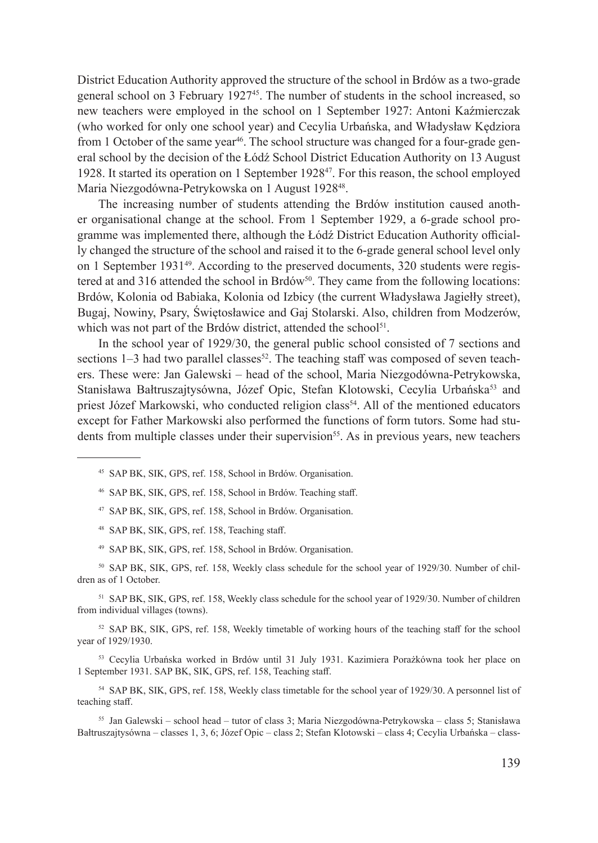District Education Authority approved the structure of the school in Brdów as a two-grade general school on 3 February 1927<sup>45</sup>. The number of students in the school increased, so new teachers were employed in the school on 1 September 1927: Antoni Kaźmierczak (who worked for only one school year) and Cecylia Urbańska, and Władysław Kędziora from 1 October of the same year<sup>46</sup>. The school structure was changed for a four-grade general school by the decision of the Łódź School District Education Authority on 13 August 1928. It started its operation on 1 September 192847. For this reason, the school employed Maria Niezgodówna-Petrykowska on 1 August 1928<sup>48</sup>.

The increasing number of students attending the Brdów institution caused another organisational change at the school. From 1 September 1929, a 6-grade school programme was implemented there, although the Łódź District Education Authority officially changed the structure of the school and raised it to the 6-grade general school level only on 1 September 193149. According to the preserved documents, 320 students were registered at and 316 attended the school in Brdów<sup>50</sup>. They came from the following locations: Brdów, Kolonia od Babiaka, Kolonia od Izbicy (the current Władysława Jagiełły street), Bugaj, Nowiny, Psary, Świętosławice and Gaj Stolarski. Also, children from Modzerów, which was not part of the Brdów district, attended the school<sup>51</sup>.

In the school year of 1929/30, the general public school consisted of 7 sections and sections  $1-3$  had two parallel classes<sup>52</sup>. The teaching staff was composed of seven teachers. These were: Jan Galewski – head of the school, Maria Niezgodówna-Petrykowska, Stanisława Bałtruszajtysówna, Józef Opic, Stefan Klotowski, Cecylia Urbańska<sup>53</sup> and priest Józef Markowski, who conducted religion class<sup>54</sup>. All of the mentioned educators except for Father Markowski also performed the functions of form tutors. Some had students from multiple classes under their supervision<sup>55</sup>. As in previous years, new teachers

- <sup>45</sup> SAP BK, SIK, GPS, ref. 158, School in Brdów. Organisation.
- <sup>46</sup> SAP BK, SIK, GPS, ref. 158, School in Brdów. Teaching staff.
- <sup>47</sup> SAP BK, SIK, GPS, ref. 158, School in Brdów. Organisation.
- <sup>48</sup> SAP BK, SIK, GPS, ref. 158, Teaching staff.
- <sup>49</sup> SAP BK, SIK, GPS, ref. 158, School in Brdów. Organisation.

<sup>50</sup> SAP BK, SIK, GPS, ref. 158, Weekly class schedule for the school year of 1929/30. Number of children as of 1 October.

<sup>51</sup> SAP BK, SIK, GPS, ref. 158, Weekly class schedule for the school year of 1929/30. Number of children from individual villages (towns).

<sup>52</sup> SAP BK, SIK, GPS, ref. 158, Weekly timetable of working hours of the teaching staff for the school year of 1929/1930.

<sup>53</sup> Cecylia Urbańska worked in Brdów until 31 July 1931. Kazimiera Porażkówna took her place on 1 September 1931. SAP BK, SIK, GPS, ref. 158, Teaching staff.

<sup>54</sup> SAP BK, SIK, GPS, ref. 158, Weekly class timetable for the school year of 1929/30. A personnel list of teaching staff.

<sup>55</sup> Jan Galewski – school head – tutor of class 3; Maria Niezgodówna-Petrykowska – class 5; Stanisława Bałtruszajtysówna – classes 1, 3, 6; Józef Opic – class 2; Stefan Klotowski – class 4; Cecylia Urbańska – class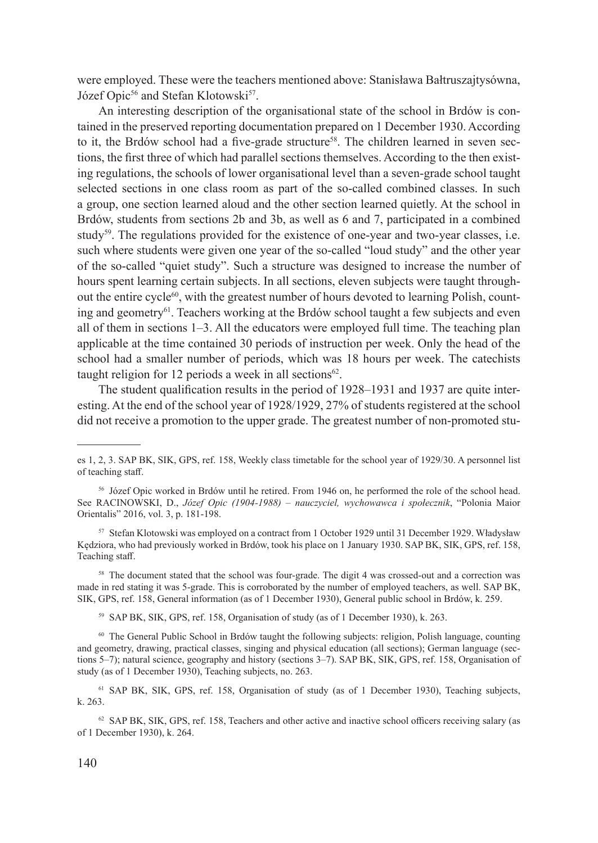were employed. These were the teachers mentioned above: Stanisława Bałtruszajtysówna, Józef Opic<sup>56</sup> and Stefan Klotowski<sup>57</sup>.

An interesting description of the organisational state of the school in Brdów is contained in the preserved reporting documentation prepared on 1 December 1930. According to it, the Brdów school had a five-grade structure<sup>58</sup>. The children learned in seven sections, the first three of which had parallel sections themselves. According to the then existing regulations, the schools of lower organisational level than a seven-grade school taught selected sections in one class room as part of the so-called combined classes. In such a group, one section learned aloud and the other section learned quietly. At the school in Brdów, students from sections 2b and 3b, as well as 6 and 7, participated in a combined study<sup>59</sup>. The regulations provided for the existence of one-year and two-year classes, i.e. such where students were given one year of the so-called "loud study" and the other year of the so-called "quiet study". Such a structure was designed to increase the number of hours spent learning certain subjects. In all sections, eleven subjects were taught throughout the entire cycle $60$ , with the greatest number of hours devoted to learning Polish, counting and geometry<sup>61</sup>. Teachers working at the Brdów school taught a few subjects and even all of them in sections 1–3. All the educators were employed full time. The teaching plan applicable at the time contained 30 periods of instruction per week. Only the head of the school had a smaller number of periods, which was 18 hours per week. The catechists taught religion for 12 periods a week in all sections<sup>62</sup>.

The student qualification results in the period of 1928–1931 and 1937 are quite interesting. At the end of the school year of 1928/1929, 27% of students registered at the school did not receive a promotion to the upper grade. The greatest number of non-promoted stu-

<sup>56</sup> Józef Opic worked in Brdów until he retired. From 1946 on, he performed the role of the school head. See RACINOWSKI, D., *Józef Opic (1904-1988) – nauczyciel, wychowawca i społecznik*, "Polonia Maior Orientalis" 2016, vol. 3, p. 181-198.

<sup>57</sup> Stefan Klotowski was employed on a contract from 1 October 1929 until 31 December 1929. Władysław Kędziora, who had previously worked in Brdów, took his place on 1 January 1930. SAP BK, SIK, GPS, ref. 158, Teaching staff.

<sup>58</sup> The document stated that the school was four-grade. The digit 4 was crossed-out and a correction was made in red stating it was 5-grade. This is corroborated by the number of employed teachers, as well. SAP BK, SIK, GPS, ref. 158, General information (as of 1 December 1930), General public school in Brdów, k. 259.

<sup>59</sup> SAP BK, SIK, GPS, ref. 158, Organisation of study (as of 1 December 1930), k. 263.

<sup>60</sup> The General Public School in Brdów taught the following subjects: religion, Polish language, counting and geometry, drawing, practical classes, singing and physical education (all sections); German language (sections 5–7); natural science, geography and history (sections 3–7). SAP BK, SIK, GPS, ref. 158, Organisation of study (as of 1 December 1930), Teaching subjects, no. 263.

<sup>61</sup> SAP BK, SIK, GPS, ref. 158, Organisation of study (as of 1 December 1930), Teaching subjects, k. 263.

<sup>62</sup> SAP BK, SIK, GPS, ref. 158, Teachers and other active and inactive school officers receiving salary (as of 1 December 1930), k. 264.

es 1, 2, 3. SAP BK, SIK, GPS, ref. 158, Weekly class timetable for the school year of 1929/30. A personnel list of teaching staff.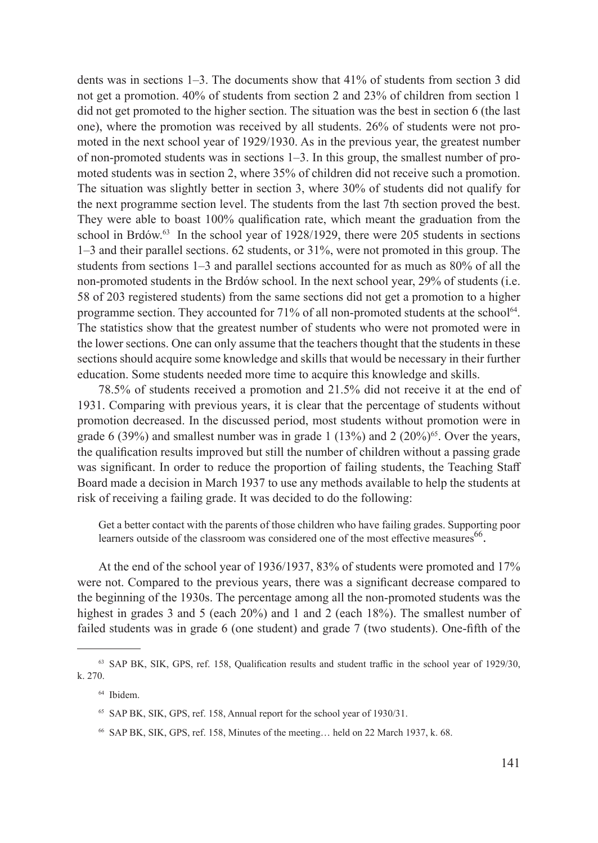dents was in sections 1–3. The documents show that 41% of students from section 3 did not get a promotion. 40% of students from section 2 and 23% of children from section 1 did not get promoted to the higher section. The situation was the best in section 6 (the last one), where the promotion was received by all students. 26% of students were not promoted in the next school year of 1929/1930. As in the previous year, the greatest number of non-promoted students was in sections 1–3. In this group, the smallest number of promoted students was in section 2, where 35% of children did not receive such a promotion. The situation was slightly better in section 3, where 30% of students did not qualify for the next programme section level. The students from the last 7th section proved the best. They were able to boast 100% qualification rate, which meant the graduation from the school in Brdów.<sup>63</sup> In the school year of 1928/1929, there were 205 students in sections 1–3 and their parallel sections. 62 students, or 31%, were not promoted in this group. The students from sections 1–3 and parallel sections accounted for as much as 80% of all the non-promoted students in the Brdów school. In the next school year, 29% of students (i.e. 58 of 203 registered students) from the same sections did not get a promotion to a higher programme section. They accounted for  $71\%$  of all non-promoted students at the school<sup>64</sup>. The statistics show that the greatest number of students who were not promoted were in the lower sections. One can only assume that the teachers thought that the students in these sections should acquire some knowledge and skills that would be necessary in their further education. Some students needed more time to acquire this knowledge and skills.

78.5% of students received a promotion and 21.5% did not receive it at the end of 1931. Comparing with previous years, it is clear that the percentage of students without promotion decreased. In the discussed period, most students without promotion were in grade 6 (39%) and smallest number was in grade 1 (13%) and 2 (20%)<sup>65</sup>. Over the years, the qualification results improved but still the number of children without a passing grade was significant. In order to reduce the proportion of failing students, the Teaching Staff Board made a decision in March 1937 to use any methods available to help the students at risk of receiving a failing grade. It was decided to do the following:

Get a better contact with the parents of those children who have failing grades. Supporting poor learners outside of the classroom was considered one of the most effective measures $^{66}$ .

At the end of the school year of 1936/1937, 83% of students were promoted and 17% were not. Compared to the previous years, there was a significant decrease compared to the beginning of the 1930s. The percentage among all the non-promoted students was the highest in grades 3 and 5 (each 20%) and 1 and 2 (each 18%). The smallest number of failed students was in grade 6 (one student) and grade 7 (two students). One-fifth of the

<sup>63</sup> SAP BK, SIK, GPS, ref. 158, Qualification results and student traffic in the school year of 1929/30, k. 270.

<sup>64</sup> Ibidem.

<sup>&</sup>lt;sup>65</sup> SAP BK, SIK, GPS, ref. 158, Annual report for the school year of 1930/31.

<sup>66</sup> SAP BK, SIK, GPS, ref. 158, Minutes of the meeting… held on 22 March 1937, k. 68.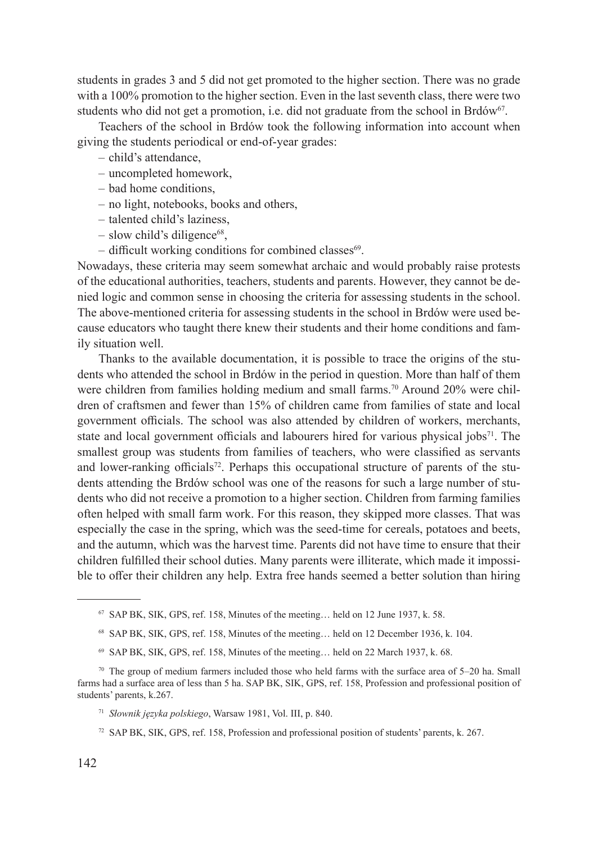students in grades 3 and 5 did not get promoted to the higher section. There was no grade with a 100% promotion to the higher section. Even in the last seventh class, there were two students who did not get a promotion, i.e. did not graduate from the school in Brdów<sup>67</sup>.

Teachers of the school in Brdów took the following information into account when giving the students periodical or end-of-year grades:

- child's attendance,
- uncompleted homework,
- bad home conditions,
- no light, notebooks, books and others,
- talented child's laziness,
- $-$  slow child's diligence<sup>68</sup>.
- $-$  difficult working conditions for combined classes<sup>69</sup>.

Nowadays, these criteria may seem somewhat archaic and would probably raise protests of the educational authorities, teachers, students and parents. However, they cannot be denied logic and common sense in choosing the criteria for assessing students in the school. The above-mentioned criteria for assessing students in the school in Brdów were used because educators who taught there knew their students and their home conditions and family situation well.

Thanks to the available documentation, it is possible to trace the origins of the students who attended the school in Brdów in the period in question. More than half of them were children from families holding medium and small farms.<sup>70</sup> Around 20% were children of craftsmen and fewer than 15% of children came from families of state and local government officials. The school was also attended by children of workers, merchants, state and local government officials and labourers hired for various physical jobs<sup>71</sup>. The smallest group was students from families of teachers, who were classified as servants and lower-ranking officials<sup>72</sup>. Perhaps this occupational structure of parents of the students attending the Brdów school was one of the reasons for such a large number of students who did not receive a promotion to a higher section. Children from farming families often helped with small farm work. For this reason, they skipped more classes. That was especially the case in the spring, which was the seed-time for cereals, potatoes and beets, and the autumn, which was the harvest time. Parents did not have time to ensure that their children fulfilled their school duties. Many parents were illiterate, which made it impossible to offer their children any help. Extra free hands seemed a better solution than hiring

<sup>69</sup> SAP BK, SIK, GPS, ref. 158, Minutes of the meeting… held on 22 March 1937, k. 68.

<sup>67</sup> SAP BK, SIK, GPS, ref. 158, Minutes of the meeting… held on 12 June 1937, k. 58.

<sup>68</sup> SAP BK, SIK, GPS, ref. 158, Minutes of the meeting… held on 12 December 1936, k. 104.

 $70$  The group of medium farmers included those who held farms with the surface area of  $5-20$  ha. Small farms had a surface area of less than 5 ha. SAP BK, SIK, GPS, ref. 158, Profession and professional position of students' parents, k.267.

<sup>71</sup> *Słownik języka polskiego*, Warsaw 1981, Vol. III, p. 840.

<sup>72</sup> SAP BK, SIK, GPS, ref. 158, Profession and professional position of students' parents, k. 267.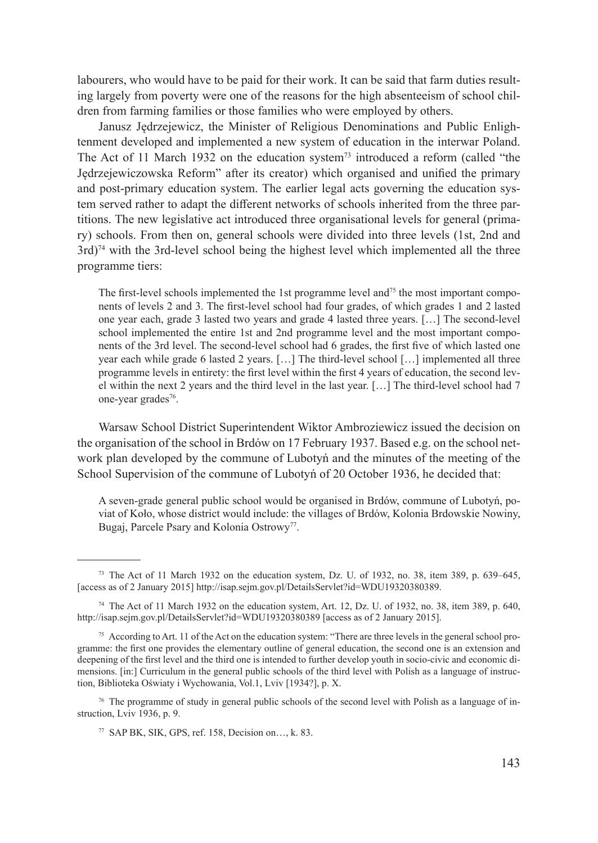labourers, who would have to be paid for their work. It can be said that farm duties resulting largely from poverty were one of the reasons for the high absenteeism of school children from farming families or those families who were employed by others.

Janusz Jędrzejewicz, the Minister of Religious Denominations and Public Enlightenment developed and implemented a new system of education in the interwar Poland. The Act of 11 March 1932 on the education system<sup>73</sup> introduced a reform (called "the Jędrzejewiczowska Reform" after its creator) which organised and unified the primary and post-primary education system. The earlier legal acts governing the education system served rather to adapt the different networks of schools inherited from the three partitions. The new legislative act introduced three organisational levels for general (primary) schools. From then on, general schools were divided into three levels (1st, 2nd and  $3rd$ <sup>74</sup> with the 3rd-level school being the highest level which implemented all the three programme tiers:

The first-level schools implemented the 1st programme level and<sup>75</sup> the most important components of levels 2 and 3. The first-level school had four grades, of which grades 1 and 2 lasted one year each, grade 3 lasted two years and grade 4 lasted three years. […] The second-level school implemented the entire 1st and 2nd programme level and the most important components of the 3rd level. The second-level school had 6 grades, the first five of which lasted one year each while grade 6 lasted 2 years. […] The third-level school […] implemented all three programme levels in entirety: the first level within the first 4 years of education, the second level within the next 2 years and the third level in the last year. […] The third-level school had 7 one-year grades<sup>76</sup>.

Warsaw School District Superintendent Wiktor Ambroziewicz issued the decision on the organisation of the school in Brdów on 17 February 1937. Based e.g. on the school network plan developed by the commune of Lubotyń and the minutes of the meeting of the School Supervision of the commune of Lubotyń of 20 October 1936, he decided that:

A seven-grade general public school would be organised in Brdów, commune of Lubotyń, poviat of Koło, whose district would include: the villages of Brdów, Kolonia Brdowskie Nowiny, Bugaj, Parcele Psary and Kolonia Ostrowy<sup>77</sup>.

<sup>73</sup> The Act of 11 March 1932 on the education system, Dz. U. of 1932, no. 38, item 389, p. 639–645, [access as of 2 January 2015] http://isap.sejm.gov.pl/DetailsServlet?id=WDU19320380389.

<sup>74</sup> The Act of 11 March 1932 on the education system, Art. 12, Dz. U. of 1932, no. 38, item 389, p. 640, http://isap.sejm.gov.pl/DetailsServlet?id=WDU19320380389 [access as of 2 January 2015].

<sup>75</sup> According to Art. 11 of the Act on the education system: "There are three levels in the general school programme: the first one provides the elementary outline of general education, the second one is an extension and deepening of the first level and the third one is intended to further develop youth in socio-civic and economic dimensions. [in:] Curriculum in the general public schools of the third level with Polish as a language of instruction, Biblioteka Oświaty i Wychowania, Vol.1, Lviv [1934?], p. X.

<sup>76</sup> The programme of study in general public schools of the second level with Polish as a language of instruction, Lviv 1936, p. 9.

<sup>77</sup> SAP BK, SIK, GPS, ref. 158, Decision on…, k. 83.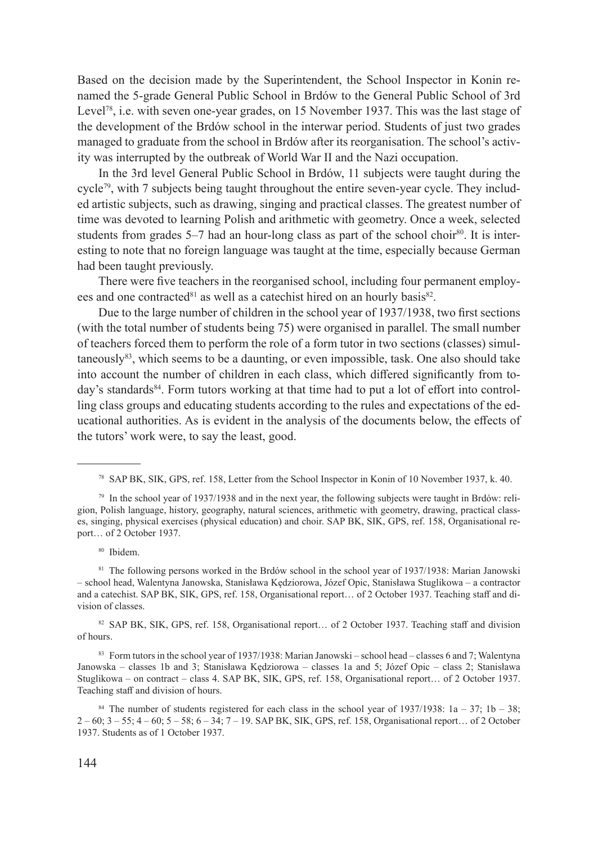Based on the decision made by the Superintendent, the School Inspector in Konin renamed the 5-grade General Public School in Brdów to the General Public School of 3rd Level<sup>78</sup>, i.e. with seven one-year grades, on 15 November 1937. This was the last stage of the development of the Brdów school in the interwar period. Students of just two grades managed to graduate from the school in Brdów after its reorganisation. The school's activity was interrupted by the outbreak of World War II and the Nazi occupation.

In the 3rd level General Public School in Brdów, 11 subjects were taught during the cycle79, with 7 subjects being taught throughout the entire seven-year cycle. They included artistic subjects, such as drawing, singing and practical classes. The greatest number of time was devoted to learning Polish and arithmetic with geometry. Once a week, selected students from grades  $5-7$  had an hour-long class as part of the school choir $^{80}$ . It is interesting to note that no foreign language was taught at the time, especially because German had been taught previously.

There were five teachers in the reorganised school, including four permanent employees and one contracted<sup>81</sup> as well as a catechist hired on an hourly basis<sup>82</sup>.

Due to the large number of children in the school year of 1937/1938, two first sections (with the total number of students being 75) were organised in parallel. The small number of teachers forced them to perform the role of a form tutor in two sections (classes) simultaneously $83$ , which seems to be a daunting, or even impossible, task. One also should take into account the number of children in each class, which differed significantly from today's standards<sup>84</sup>. Form tutors working at that time had to put a lot of effort into controlling class groups and educating students according to the rules and expectations of the educational authorities. As is evident in the analysis of the documents below, the effects of the tutors' work were, to say the least, good.

82 SAP BK, SIK, GPS, ref. 158, Organisational report... of 2 October 1937. Teaching staff and division of hours.

<sup>83</sup> Form tutors in the school year of 1937/1938: Marian Janowski – school head – classes 6 and 7; Walentyna Janowska – classes 1b and 3; Stanisława Kędziorowa – classes 1a and 5; Józef Opic – class 2; Stanisława Stuglikowa – on contract – class 4. SAP BK, SIK, GPS, ref. 158, Organisational report… of 2 October 1937. Teaching staff and division of hours.

<sup>78</sup> SAP BK, SIK, GPS, ref. 158, Letter from the School Inspector in Konin of 10 November 1937, k. 40.

<sup>79</sup> In the school year of 1937/1938 and in the next year, the following subjects were taught in Brdów: religion, Polish language, history, geography, natural sciences, arithmetic with geometry, drawing, practical classes, singing, physical exercises (physical education) and choir. SAP BK, SIK, GPS, ref. 158, Organisational report… of 2 October 1937.

<sup>80</sup> Ibidem.

<sup>&</sup>lt;sup>81</sup> The following persons worked in the Brdów school in the school year of 1937/1938: Marian Janowski – school head, Walentyna Janowska, Stanisława Kędziorowa, Józef Opic, Stanisława Stuglikowa – a contractor and a catechist. SAP BK, SIK, GPS, ref. 158, Organisational report… of 2 October 1937. Teaching staff and division of classes.

<sup>&</sup>lt;sup>84</sup> The number of students registered for each class in the school year of 1937/1938:  $1a - 37$ ;  $1b - 38$ ; 2 – 60; 3 – 55; 4 – 60; 5 – 58; 6 – 34; 7 – 19. SAP BK, SIK, GPS, ref. 158, Organisational report… of 2 October 1937. Students as of 1 October 1937.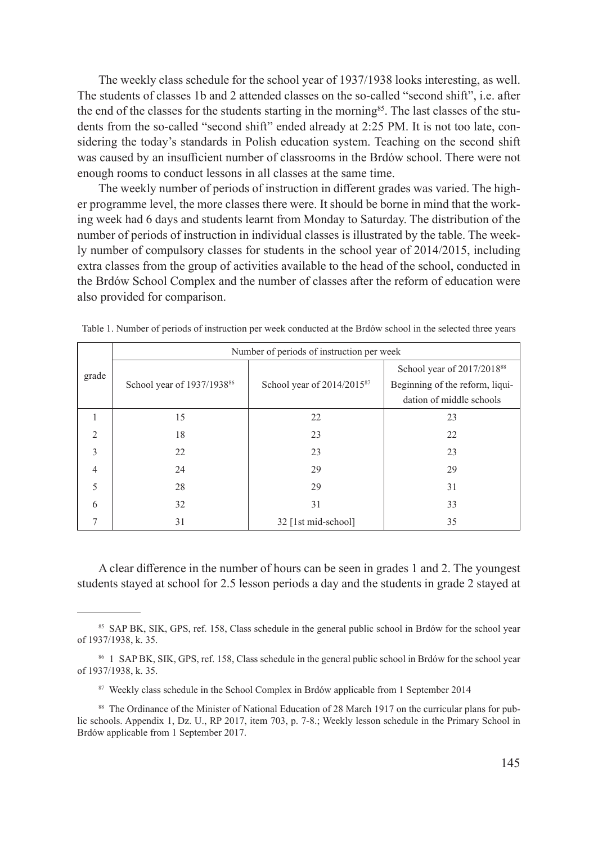The weekly class schedule for the school year of 1937/1938 looks interesting, as well. The students of classes 1b and 2 attended classes on the so-called "second shift", i.e. after the end of the classes for the students starting in the morning<sup>85</sup>. The last classes of the students from the so-called "second shift" ended already at 2:25 PM. It is not too late, considering the today's standards in Polish education system. Teaching on the second shift was caused by an insufficient number of classrooms in the Brdów school. There were not enough rooms to conduct lessons in all classes at the same time.

The weekly number of periods of instruction in different grades was varied. The higher programme level, the more classes there were. It should be borne in mind that the working week had 6 days and students learnt from Monday to Saturday. The distribution of the number of periods of instruction in individual classes is illustrated by the table. The weekly number of compulsory classes for students in the school year of 2014/2015, including extra classes from the group of activities available to the head of the school, conducted in the Brdów School Complex and the number of classes after the reform of education were also provided for comparison.

|                | Number of periods of instruction per week |                                 |                                        |  |  |  |  |  |
|----------------|-------------------------------------------|---------------------------------|----------------------------------------|--|--|--|--|--|
| grade          |                                           |                                 | School year of 2017/2018 <sup>88</sup> |  |  |  |  |  |
|                | School year of 1937/1938 <sup>86</sup>    | School year of $2014/2015^{87}$ | Beginning of the reform, liqui-        |  |  |  |  |  |
|                |                                           |                                 | dation of middle schools               |  |  |  |  |  |
|                | 15                                        | 22                              | 23                                     |  |  |  |  |  |
| $\mathfrak{D}$ | 18                                        | 23                              | 22                                     |  |  |  |  |  |
| $\mathcal{E}$  | 22                                        | 23                              | 23                                     |  |  |  |  |  |
| $\overline{4}$ | 24                                        | 29                              | 29                                     |  |  |  |  |  |
| 5              | 28                                        | 29                              | 31                                     |  |  |  |  |  |
| 6              | 32                                        | 31                              | 33                                     |  |  |  |  |  |
|                | 31                                        | 32 [1st mid-school]             | 35                                     |  |  |  |  |  |

Table 1. Number of periods of instruction per week conducted at the Brdów school in the selected three years

A clear difference in the number of hours can be seen in grades 1 and 2. The youngest students stayed at school for 2.5 lesson periods a day and the students in grade 2 stayed at

<sup>85</sup> SAP BK, SIK, GPS, ref. 158, Class schedule in the general public school in Brdów for the school year of 1937/1938, k. 35.

<sup>86</sup> 1 SAP BK, SIK, GPS, ref. 158, Class schedule in the general public school in Brdów for the school year of 1937/1938, k. 35.

<sup>87</sup> Weekly class schedule in the School Complex in Brdów applicable from 1 September 2014

<sup>88</sup> The Ordinance of the Minister of National Education of 28 March 1917 on the curricular plans for public schools. Appendix 1, Dz. U., RP 2017, item 703, p. 7-8.; Weekly lesson schedule in the Primary School in Brdów applicable from 1 September 2017.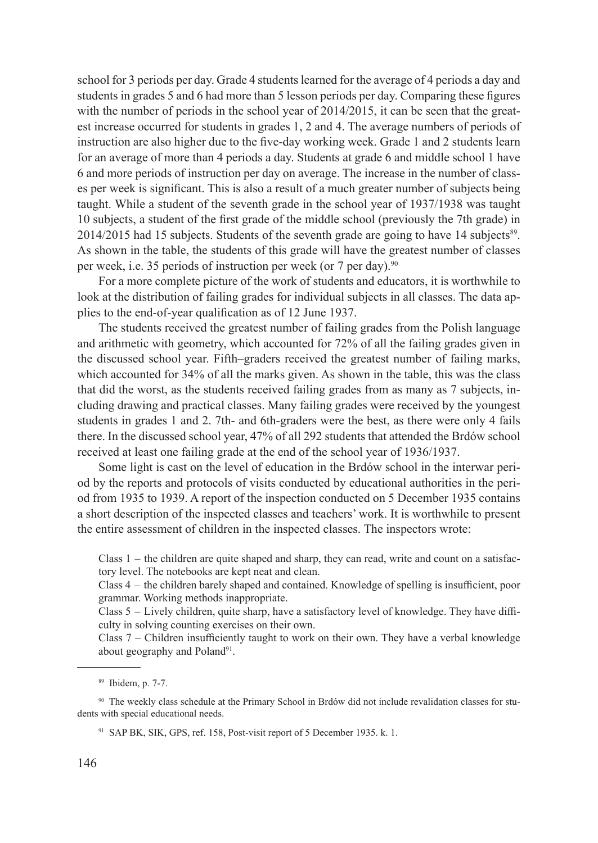school for 3 periods per day. Grade 4 students learned for the average of 4 periods a day and students in grades 5 and 6 had more than 5 lesson periods per day. Comparing these figures with the number of periods in the school year of 2014/2015, it can be seen that the greatest increase occurred for students in grades 1, 2 and 4. The average numbers of periods of instruction are also higher due to the five-day working week. Grade 1 and 2 students learn for an average of more than 4 periods a day. Students at grade 6 and middle school 1 have 6 and more periods of instruction per day on average. The increase in the number of classes per week is significant. This is also a result of a much greater number of subjects being taught. While a student of the seventh grade in the school year of 1937/1938 was taught 10 subjects, a student of the first grade of the middle school (previously the 7th grade) in  $2014/2015$  had 15 subjects. Students of the seventh grade are going to have 14 subjects<sup>89</sup>. As shown in the table, the students of this grade will have the greatest number of classes per week, i.e. 35 periods of instruction per week (or 7 per day).<sup>90</sup>

For a more complete picture of the work of students and educators, it is worthwhile to look at the distribution of failing grades for individual subjects in all classes. The data applies to the end-of-year qualification as of 12 June 1937.

The students received the greatest number of failing grades from the Polish language and arithmetic with geometry, which accounted for 72% of all the failing grades given in the discussed school year. Fifth–graders received the greatest number of failing marks, which accounted for 34% of all the marks given. As shown in the table, this was the class that did the worst, as the students received failing grades from as many as 7 subjects, including drawing and practical classes. Many failing grades were received by the youngest students in grades 1 and 2. 7th- and 6th-graders were the best, as there were only 4 fails there. In the discussed school year, 47% of all 292 students that attended the Brdów school received at least one failing grade at the end of the school year of 1936/1937.

Some light is cast on the level of education in the Brdów school in the interwar period by the reports and protocols of visits conducted by educational authorities in the period from 1935 to 1939. A report of the inspection conducted on 5 December 1935 contains a short description of the inspected classes and teachers' work. It is worthwhile to present the entire assessment of children in the inspected classes. The inspectors wrote:

Class 1 – the children are quite shaped and sharp, they can read, write and count on a satisfactory level. The notebooks are kept neat and clean.

Class 4 – the children barely shaped and contained. Knowledge of spelling is insufficient, poor grammar. Working methods inappropriate.

Class 5 – Lively children, quite sharp, have a satisfactory level of knowledge. They have difficulty in solving counting exercises on their own.

Class 7 – Children insufficiently taught to work on their own. They have a verbal knowledge about geography and Poland<sup>91</sup>.

<sup>89</sup> Ibidem, p. 7-7.

<sup>90</sup> The weekly class schedule at the Primary School in Brdów did not include revalidation classes for students with special educational needs.

<sup>&</sup>lt;sup>91</sup> SAP BK, SIK, GPS, ref. 158, Post-visit report of 5 December 1935. k. 1.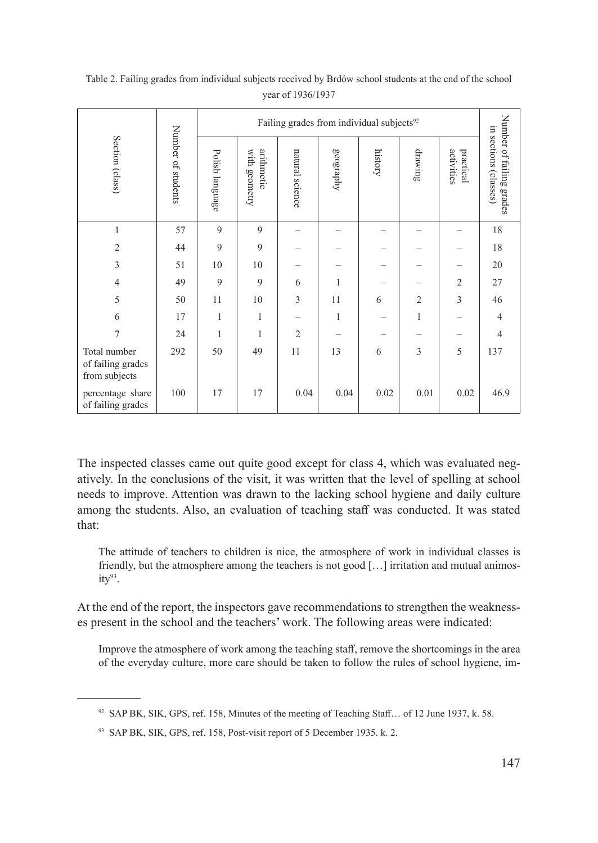|                                                    | Number of students | Failing grades from individual subjects <sup>92</sup> |                             |                 |           |         |                |                         |                                                   |
|----------------------------------------------------|--------------------|-------------------------------------------------------|-----------------------------|-----------------|-----------|---------|----------------|-------------------------|---------------------------------------------------|
| Section (class)                                    |                    | Polish language                                       | arithmetic<br>with geometry | natural science | geography | history | drawing        | activities<br>practical | Number of failing grades<br>in sections (classes) |
| 1                                                  | 57                 | 9                                                     | 9                           |                 |           |         |                |                         | 18                                                |
| $\overline{2}$                                     | 44                 | 9                                                     | 9                           |                 |           |         |                |                         | 18                                                |
| 3                                                  | 51                 | 10                                                    | 10                          |                 |           |         |                |                         | 20                                                |
| $\overline{4}$                                     | 49                 | $\overline{9}$                                        | 9                           | 6               | 1         |         |                | $\overline{2}$          | 27                                                |
| 5                                                  | 50                 | 11                                                    | 10                          | 3               | 11        | 6       | $\overline{2}$ | 3                       | 46                                                |
| 6                                                  | 17                 | 1                                                     | 1                           |                 | 1         |         | $\mathbf{1}$   |                         | $\overline{4}$                                    |
| 7                                                  | 24                 | 1                                                     | 1                           | $\overline{2}$  |           |         |                |                         | $\overline{4}$                                    |
| Total number<br>of failing grades<br>from subjects | 292                | 50                                                    | 49                          | 11              | 13        | 6       | 3              | 5                       | 137                                               |
| percentage share<br>of failing grades              | 100                | 17                                                    | 17                          | 0.04            | 0.04      | 0.02    | 0.01           | 0.02                    | 46.9                                              |

Table 2. Failing grades from individual subjects received by Brdów school students at the end of the school year of 1936/1937

The inspected classes came out quite good except for class 4, which was evaluated negatively. In the conclusions of the visit, it was written that the level of spelling at school needs to improve. Attention was drawn to the lacking school hygiene and daily culture among the students. Also, an evaluation of teaching staff was conducted. It was stated that:

The attitude of teachers to children is nice, the atmosphere of work in individual classes is friendly, but the atmosphere among the teachers is not good […] irritation and mutual animos $ity<sup>93</sup>$ .

At the end of the report, the inspectors gave recommendations to strengthen the weaknesses present in the school and the teachers' work. The following areas were indicated:

Improve the atmosphere of work among the teaching staff, remove the shortcomings in the area of the everyday culture, more care should be taken to follow the rules of school hygiene, im-

<sup>92</sup> SAP BK, SIK, GPS, ref. 158, Minutes of the meeting of Teaching Staff... of 12 June 1937, k. 58.

<sup>93</sup> SAP BK, SIK, GPS, ref. 158, Post-visit report of 5 December 1935. k. 2.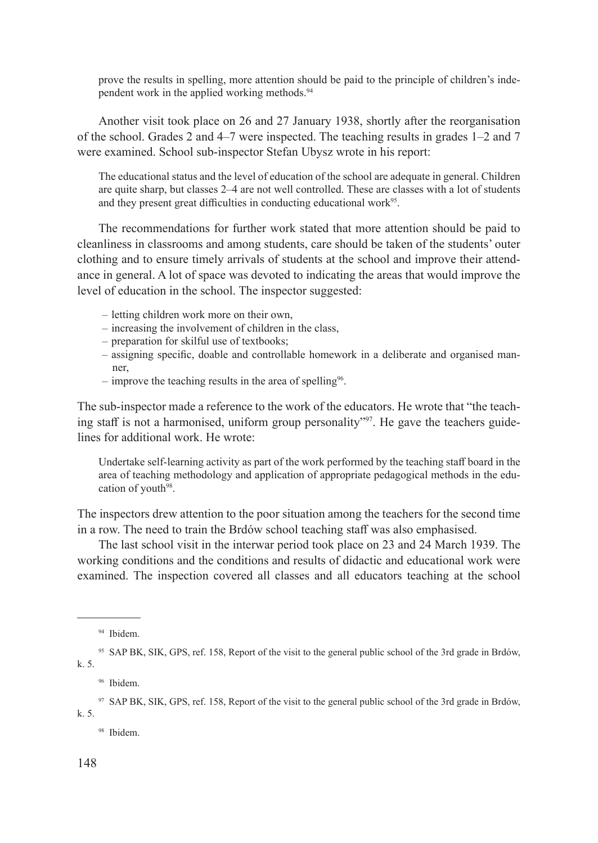prove the results in spelling, more attention should be paid to the principle of children's independent work in the applied working methods.94

Another visit took place on 26 and 27 January 1938, shortly after the reorganisation of the school. Grades 2 and 4–7 were inspected. The teaching results in grades 1–2 and 7 were examined. School sub-inspector Stefan Ubysz wrote in his report:

The educational status and the level of education of the school are adequate in general. Children are quite sharp, but classes 2–4 are not well controlled. These are classes with a lot of students and they present great difficulties in conducting educational work<sup>95</sup>.

The recommendations for further work stated that more attention should be paid to cleanliness in classrooms and among students, care should be taken of the students' outer clothing and to ensure timely arrivals of students at the school and improve their attendance in general. A lot of space was devoted to indicating the areas that would improve the level of education in the school. The inspector suggested:

- letting children work more on their own,
- increasing the involvement of children in the class,
- preparation for skilful use of textbooks;
- assigning specific, doable and controllable homework in a deliberate and organised man ner
- improve the teaching results in the area of spelling<sup>96</sup>.

The sub-inspector made a reference to the work of the educators. He wrote that "the teaching staff is not a harmonised, uniform group personality"<sup>97</sup>. He gave the teachers guidelines for additional work. He wrote:

Undertake self-learning activity as part of the work performed by the teaching staff board in the area of teaching methodology and application of appropriate pedagogical methods in the education of youth<sup>98</sup>.

The inspectors drew attention to the poor situation among the teachers for the second time in a row. The need to train the Brdów school teaching staff was also emphasised.

The last school visit in the interwar period took place on 23 and 24 March 1939. The working conditions and the conditions and results of didactic and educational work were examined. The inspection covered all classes and all educators teaching at the school

<sup>98</sup> Ibidem.

<sup>94</sup> Ibidem.

<sup>95</sup> SAP BK, SIK, GPS, ref. 158, Report of the visit to the general public school of the 3rd grade in Brdów, k. 5.

<sup>96</sup> Ibidem.

<sup>&</sup>lt;sup>97</sup> SAP BK, SIK, GPS, ref. 158, Report of the visit to the general public school of the 3rd grade in Brdów, k. 5.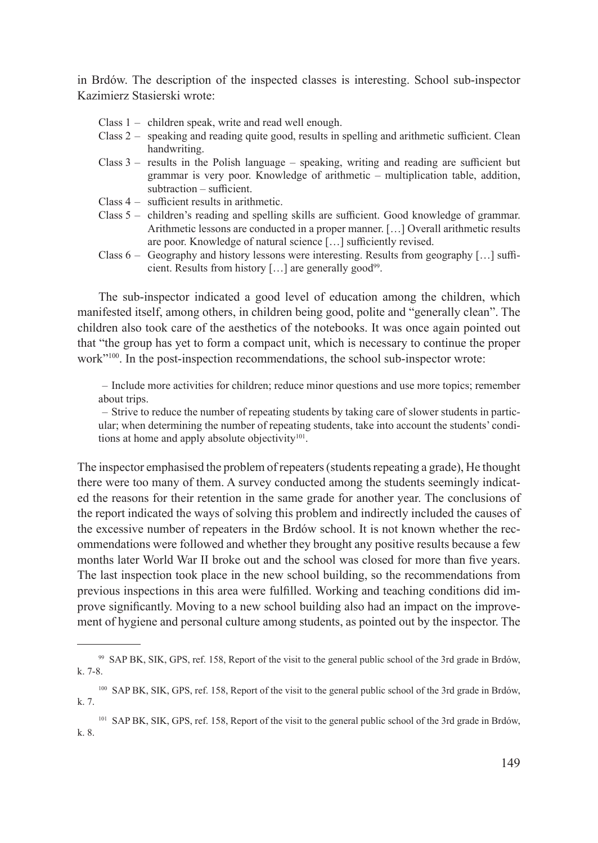in Brdów. The description of the inspected classes is interesting. School sub-inspector Kazimierz Stasierski wrote:

- Class 1 children speak, write and read well enough.
- Class 2 speaking and reading quite good, results in spelling and arithmetic sufficient. Clean handwriting.
- Class  $3$  results in the Polish language speaking, writing and reading are sufficient but grammar is very poor. Knowledge of arithmetic – multiplication table, addition, subtraction – sufficient.
- Class 4 sufficient results in arithmetic.
- Class 5 children's reading and spelling skills are sufficient. Good knowledge of grammar. Arithmetic lessons are conducted in a proper manner. […] Overall arithmetic results are poor. Knowledge of natural science […] sufficiently revised.
- Class  $6 -$  Geography and history lessons were interesting. Results from geography [...] sufficient. Results from history  $[\dots]$  are generally good<sup>99</sup>.

The sub-inspector indicated a good level of education among the children, which manifested itself, among others, in children being good, polite and "generally clean". The children also took care of the aesthetics of the notebooks. It was once again pointed out that "the group has yet to form a compact unit, which is necessary to continue the proper work"<sup>100</sup>. In the post-inspection recommendations, the school sub-inspector wrote:

– Include more activities for children; reduce minor questions and use more topics; remember about trips.

– Strive to reduce the number of repeating students by taking care of slower students in particular; when determining the number of repeating students, take into account the students' conditions at home and apply absolute objectivity<sup>101</sup>.

The inspector emphasised the problem of repeaters (students repeating a grade), He thought there were too many of them. A survey conducted among the students seemingly indicated the reasons for their retention in the same grade for another year. The conclusions of the report indicated the ways of solving this problem and indirectly included the causes of the excessive number of repeaters in the Brdów school. It is not known whether the recommendations were followed and whether they brought any positive results because a few months later World War II broke out and the school was closed for more than five years. The last inspection took place in the new school building, so the recommendations from previous inspections in this area were fulfilled. Working and teaching conditions did improve significantly. Moving to a new school building also had an impact on the improvement of hygiene and personal culture among students, as pointed out by the inspector. The

<sup>99</sup> SAP BK, SIK, GPS, ref. 158, Report of the visit to the general public school of the 3rd grade in Brdów, k. 7-8.

<sup>&</sup>lt;sup>100</sup> SAP BK, SIK, GPS, ref. 158, Report of the visit to the general public school of the 3rd grade in Brdów, k. 7.

<sup>101</sup> SAP BK, SIK, GPS, ref. 158, Report of the visit to the general public school of the 3rd grade in Brdów, k. 8.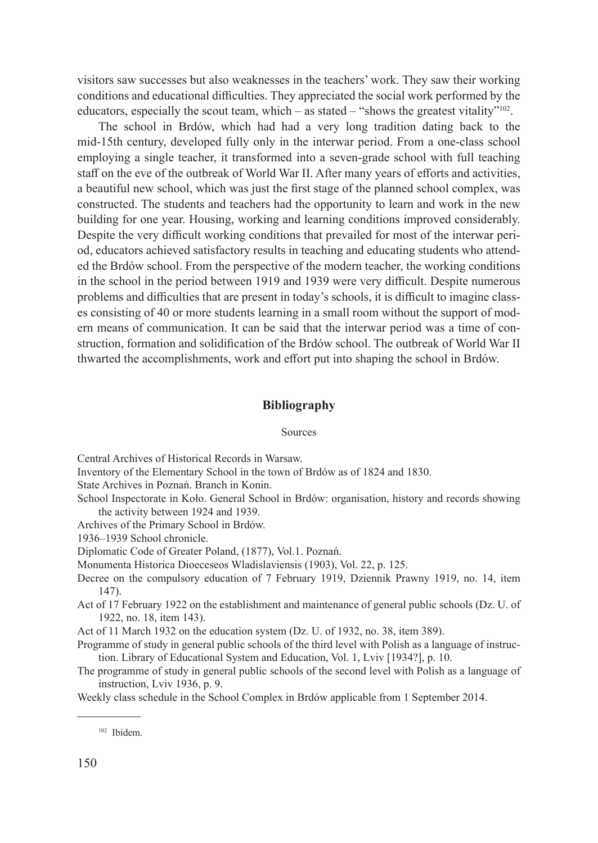visitors saw successes but also weaknesses in the teachers' work. They saw their working conditions and educational difficulties. They appreciated the social work performed by the educators, especially the scout team, which – as stated – "shows the greatest vitality"<sup>102</sup>.

The school in Brdów, which had had a very long tradition dating back to the mid-15th century, developed fully only in the interwar period. From a one-class school employing a single teacher, it transformed into a seven-grade school with full teaching staff on the eve of the outbreak of World War II. After many years of efforts and activities, a beautiful new school, which was just the first stage of the planned school complex, was constructed. The students and teachers had the opportunity to learn and work in the new building for one year. Housing, working and learning conditions improved considerably. Despite the very difficult working conditions that prevailed for most of the interwar period, educators achieved satisfactory results in teaching and educating students who attended the Brdów school. From the perspective of the modern teacher, the working conditions in the school in the period between 1919 and 1939 were very difficult. Despite numerous problems and difficulties that are present in today's schools, it is difficult to imagine classes consisting of 40 or more students learning in a small room without the support of modern means of communication. It can be said that the interwar period was a time of construction, formation and solidification of the Brdów school. The outbreak of World War II thwarted the accomplishments, work and effort put into shaping the school in Brdów.

# **Bibliography**

# Sources

Central Archives of Historical Records in Warsaw.

Inventory of the Elementary School in the town of Brdów as of 1824 and 1830.

State Archives in Poznań. Branch in Konin.

School Inspectorate in Koło. General School in Brdów: organisation, history and records showing the activity between 1924 and 1939.

Archives of the Primary School in Brdów.

1936–1939 School chronicle.

Diplomatic Code of Greater Poland, (1877), Vol.1. Poznań.

Monumenta Historica Dioeceseos Wladislaviensis (1903), Vol. 22, p. 125.

- Decree on the compulsory education of 7 February 1919, Dziennik Prawny 1919, no. 14, item 147).
- Act of 17 February 1922 on the establishment and maintenance of general public schools (Dz. U. of 1922, no. 18, item 143).

Act of 11 March 1932 on the education system (Dz. U. of 1932, no. 38, item 389).

- Programme of study in general public schools of the third level with Polish as a language of instruction. Library of Educational System and Education, Vol. 1, Lviv [1934?], p. 10.
- The programme of study in general public schools of the second level with Polish as a language of instruction, Lviv 1936, p. 9.

Weekly class schedule in the School Complex in Brdów applicable from 1 September 2014.

<sup>102</sup> Ibidem.